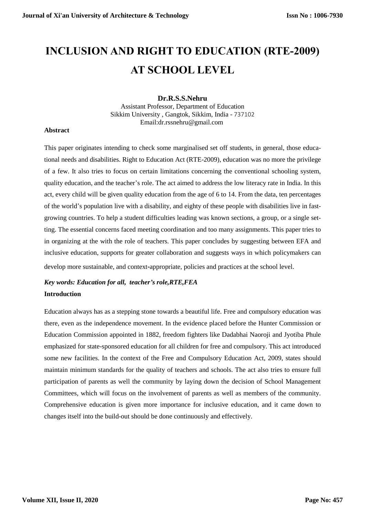# **INCLUSION AND RIGHT TO EDUCATION (RTE-2009) AT SCHOOL LEVEL**

## **Dr.R.S.S.Nehru**

Assistant Professor, Department of Education Sikkim University , Gangtok, Sikkim, India - 737102 Email:dr.rssnehru@gmail.com

### **Abstract**

This paper originates intending to check some marginalised set off students, in general, those educational needs and disabilities. Right to Education Act (RTE-2009), education was no more the privilege of a few. It also tries to focus on certain limitations concerning the conventional schooling system, quality education, and the teacher's role. The act aimed to address the low literacy rate in India. In this act, every child will be given quality education from the age of 6 to 14. From the data, ten percentages of the world's population live with a disability, and eighty of these people with disabilities live in fastgrowing countries. To help a student difficulties leading was known sections, a group, or a single setting. The essential concerns faced meeting coordination and too many assignments. This paper tries to in organizing at the with the role of teachers. This paper concludes by suggesting between EFA and inclusive education, supports for greater collaboration and suggests ways in which policymakers can develop more sustainable, and context-appropriate, policies and practices at the school level.

## *Key words: Education for all, teacher's role,RTE,FEA* **Introduction**

Education always has as a stepping stone towards a beautiful life. Free and compulsory education was there, even as the independence movement. In the evidence placed before the Hunter Commission or Education Commission appointed in 1882, freedom fighters like Dadabhai Naoroji and Jyotiba Phule emphasized for state-sponsored education for all children for free and compulsory. This act introduced some new facilities. In the context of the Free and Compulsory Education Act, 2009, states should maintain minimum standards for the quality of teachers and schools. The act also tries to ensure full participation of parents as well the community by laying down the decision of School Management Committees, which will focus on the involvement of parents as well as members of the community. Comprehensive education is given more importance for inclusive education, and it came down to changes itself into the build-out should be done continuously and effectively.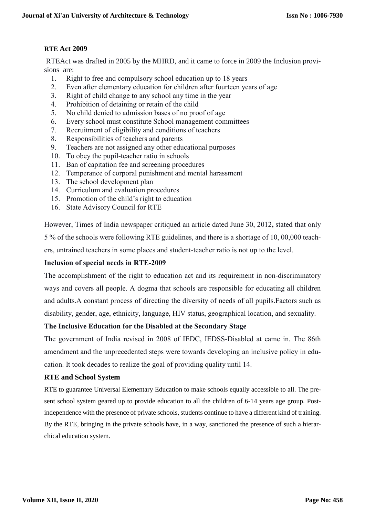## **RTE Act 2009**

RTEAct was drafted in 2005 by the MHRD, and it came to force in 2009 the Inclusion provisions are:

- 1. Right to free and compulsory school education up to 18 years
- 2. Even after elementary education for children after fourteen years of age
- 3. Right of child change to any school any time in the year
- 4. Prohibition of detaining or retain of the child
- 5. No child denied to admission bases of no proof of age
- 6. Every school must constitute School management committees
- 7. Recruitment of eligibility and conditions of teachers
- 8. Responsibilities of teachers and parents
- 9. Teachers are not assigned any other educational purposes
- 10. To obey the pupil-teacher ratio in schools
- 11. Ban of capitation fee and screening procedures
- 12. Temperance of corporal punishment and mental harassment
- 13. The school development plan
- 14. Curriculum and evaluation procedures
- 15. Promotion of the child's right to education
- 16. State Advisory Council for RTE

However, Times of India newspaper critiqued an article dated June 30, 2012**,** stated that only 5 % of the schools were following RTE guidelines, and there is a shortage of 10, 00,000 teachers, untrained teachers in some places and student-teacher ratio is not up to the level.

## **Inclusion of special needs in RTE-2009**

The accomplishment of the right to education act and its requirement in non-discriminatory ways and covers all people. A dogma that schools are responsible for educating all children and adults.A constant process of directing the diversity of needs of all pupils.Factors such as disability, gender, age, ethnicity, language, HIV status, geographical location, and sexuality.

## **The Inclusive Education for the Disabled at the Secondary Stage**

The government of India revised in 2008 of IEDC, IEDSS-Disabled at came in. The 86th amendment and the unprecedented steps were towards developing an inclusive policy in education. It took decades to realize the goal of providing quality until 14.

## **RTE and School System**

RTE to guarantee Universal Elementary Education to make schools equally accessible to all. The present school system geared up to provide education to all the children of 6-14 years age group. Postindependence with the presence of private schools, students continue to have a different kind of training. By the RTE, bringing in the private schools have, in a way, sanctioned the presence of such a hierarchical education system.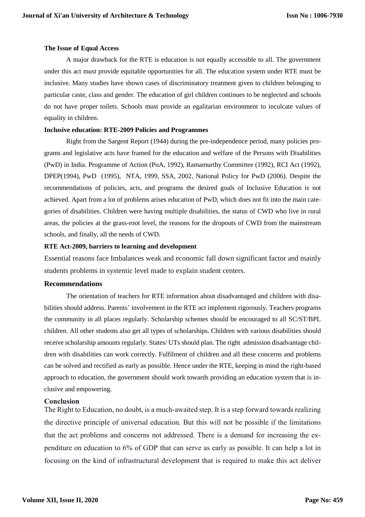#### **The Issue of Equal Access**

A major drawback for the RTE is education is not equally accessible to all. The government under this act must provide equitable opportunities for all. The education system under RTE must be inclusive. Many studies have shown cases of discriminatory treatment given to children belonging to particular caste, class and gender. The education of girl children continues to be neglected and schools do not have proper toilets. Schools must provide an egalitarian environment to inculcate values of equality in children.

#### **Inclusive education: RTE-2009 Policies and Programmes**

Right from the Sargent Report (1944) during the pre-independence period, many policies programs and legislative acts have framed for the education and welfare of the Persons with Disabilities (PwD) in India. Programme of Action (PoA, 1992), Ramamurthy Committee (1992), RCI Act (1992), DPEP(1994), PwD (1995), NTA, 1999, SSA, 2002, National Policy for PwD (2006). Despite the recommendations of policies, acts, and programs the desired goals of Inclusive Education is not achieved. Apart from a lot of problems arises education of PwD, which does not fit into the main categories of disabilities. Children were having multiple disabilities, the status of CWD who live in rural areas, the policies at the grass-root level, the reasons for the dropouts of CWD from the mainstream schools, and finally, all the needs of CWD.

#### **RTE Act-2009, barriers to learning and development**

Essential reasons face Imbalances weak and economic fall down significant factor and mainly students problems in systemic level made to explain student centers.

### **Recommendations**

The orientation of teachers for RTE information about disadvantaged and children with disabilities should address. Parents' involvement in the RTE act implement rigorously. Teachers programs the community in all places regularly. Scholarship schemes should be encouraged to all SC/ST/BPL children. All other students also get all types of scholarships. Children with various disabilities should receive scholarship amounts regularly. States/ UTs should plan. The right admission disadvantage children with disabilities can work correctly. Fulfilment of children and all these concerns and problems can be solved and rectified as early as possible. Hence under the RTE, keeping in mind the right-based approach to education, the government should work towards providing an education system that is inclusive and empowering.

### **Conclusion**

The Right to Education, no doubt, is a much-awaited step. It is a step forward towards realizing the directive principle of universal education. But this will not be possible if the limitations that the act problems and concerns not addressed. There is a demand for increasing the expenditure on education to 6% of GDP that can serve as early as possible. It can help a lot in focusing on the kind of infrastructural development that is required to make this act deliver